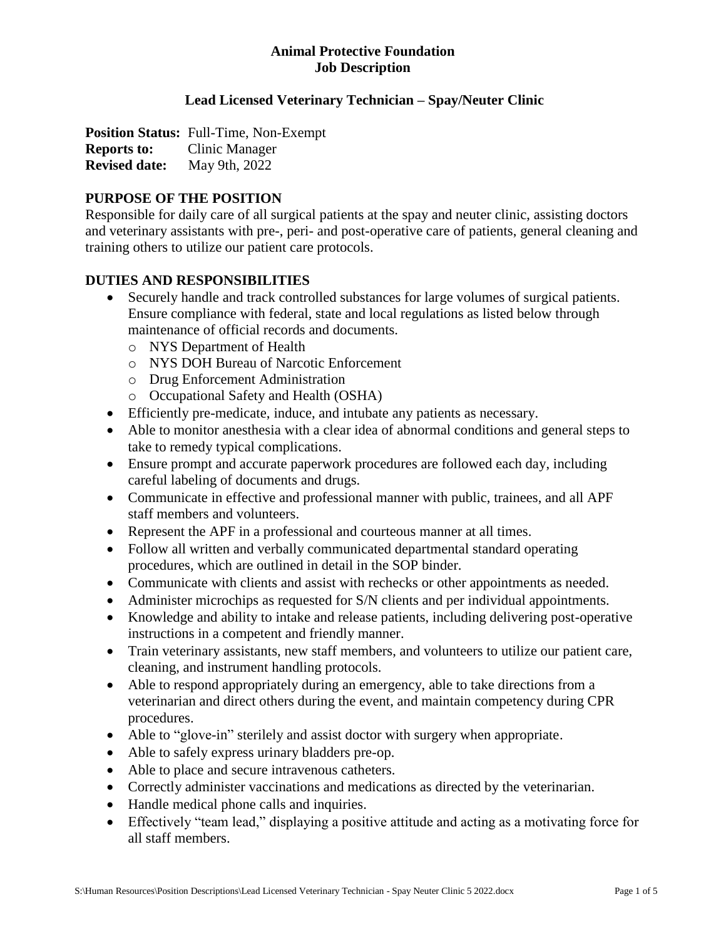# **Lead Licensed Veterinary Technician – Spay/Neuter Clinic**

**Position Status:** Full-Time, Non-Exempt **Reports to:** Clinic Manager **Revised date:** May 9th, 2022

### **PURPOSE OF THE POSITION**

Responsible for daily care of all surgical patients at the spay and neuter clinic, assisting doctors and veterinary assistants with pre-, peri- and post-operative care of patients, general cleaning and training others to utilize our patient care protocols.

#### **DUTIES AND RESPONSIBILITIES**

- Securely handle and track controlled substances for large volumes of surgical patients. Ensure compliance with federal, state and local regulations as listed below through maintenance of official records and documents.
	- o NYS Department of Health
	- o NYS DOH Bureau of Narcotic Enforcement
	- o Drug Enforcement Administration
	- o Occupational Safety and Health (OSHA)
- Efficiently pre-medicate, induce, and intubate any patients as necessary.
- Able to monitor anesthesia with a clear idea of abnormal conditions and general steps to take to remedy typical complications.
- Ensure prompt and accurate paperwork procedures are followed each day, including careful labeling of documents and drugs.
- Communicate in effective and professional manner with public, trainees, and all APF staff members and volunteers.
- Represent the APF in a professional and courteous manner at all times.
- Follow all written and verbally communicated departmental standard operating procedures, which are outlined in detail in the SOP binder.
- Communicate with clients and assist with rechecks or other appointments as needed.
- Administer microchips as requested for S/N clients and per individual appointments.
- Knowledge and ability to intake and release patients, including delivering post-operative instructions in a competent and friendly manner.
- Train veterinary assistants, new staff members, and volunteers to utilize our patient care, cleaning, and instrument handling protocols.
- Able to respond appropriately during an emergency, able to take directions from a veterinarian and direct others during the event, and maintain competency during CPR procedures.
- Able to "glove-in" sterilely and assist doctor with surgery when appropriate.
- Able to safely express urinary bladders pre-op.
- Able to place and secure intravenous catheters.
- Correctly administer vaccinations and medications as directed by the veterinarian.
- Handle medical phone calls and inquiries.
- Effectively "team lead," displaying a positive attitude and acting as a motivating force for all staff members.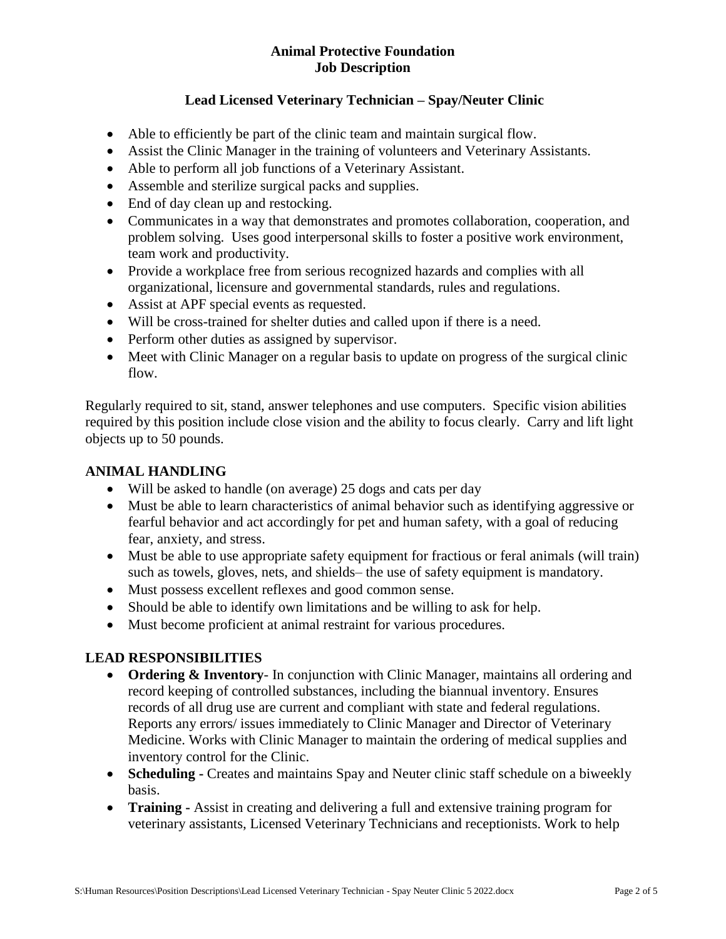# **Lead Licensed Veterinary Technician – Spay/Neuter Clinic**

- Able to efficiently be part of the clinic team and maintain surgical flow.
- Assist the Clinic Manager in the training of volunteers and Veterinary Assistants.
- Able to perform all job functions of a Veterinary Assistant.
- Assemble and sterilize surgical packs and supplies.
- End of day clean up and restocking.
- Communicates in a way that demonstrates and promotes collaboration, cooperation, and problem solving. Uses good interpersonal skills to foster a positive work environment, team work and productivity.
- Provide a workplace free from serious recognized hazards and complies with all organizational, licensure and governmental standards, rules and regulations.
- Assist at APF special events as requested.
- Will be cross-trained for shelter duties and called upon if there is a need.
- Perform other duties as assigned by supervisor.
- Meet with Clinic Manager on a regular basis to update on progress of the surgical clinic flow.

Regularly required to sit, stand, answer telephones and use computers. Specific vision abilities required by this position include close vision and the ability to focus clearly. Carry and lift light objects up to 50 pounds.

### **ANIMAL HANDLING**

- Will be asked to handle (on average) 25 dogs and cats per day
- Must be able to learn characteristics of animal behavior such as identifying aggressive or fearful behavior and act accordingly for pet and human safety, with a goal of reducing fear, anxiety, and stress.
- Must be able to use appropriate safety equipment for fractious or feral animals (will train) such as towels, gloves, nets, and shields– the use of safety equipment is mandatory.
- Must possess excellent reflexes and good common sense.
- Should be able to identify own limitations and be willing to ask for help.
- Must become proficient at animal restraint for various procedures.

# **LEAD RESPONSIBILITIES**

- **Ordering & Inventory** In conjunction with Clinic Manager, maintains all ordering and record keeping of controlled substances, including the biannual inventory. Ensures records of all drug use are current and compliant with state and federal regulations. Reports any errors/ issues immediately to Clinic Manager and Director of Veterinary Medicine. Works with Clinic Manager to maintain the ordering of medical supplies and inventory control for the Clinic.
- **Scheduling -** Creates and maintains Spay and Neuter clinic staff schedule on a biweekly basis.
- **Training -** Assist in creating and delivering a full and extensive training program for veterinary assistants, Licensed Veterinary Technicians and receptionists. Work to help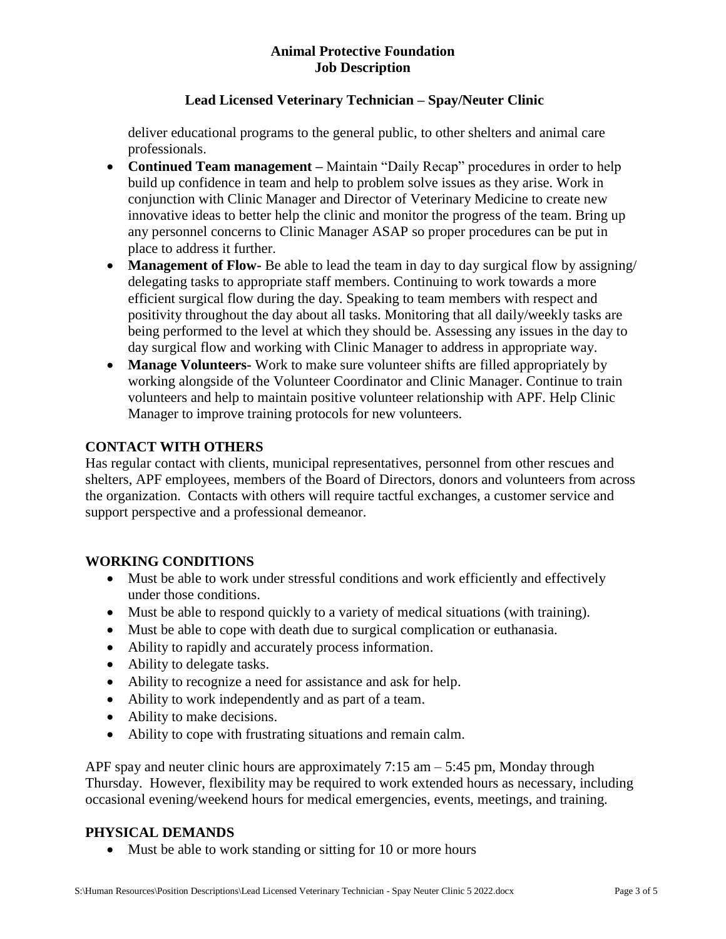# **Lead Licensed Veterinary Technician – Spay/Neuter Clinic**

deliver educational programs to the general public, to other shelters and animal care professionals.

- **Continued Team management –** Maintain "Daily Recap" procedures in order to help build up confidence in team and help to problem solve issues as they arise. Work in conjunction with Clinic Manager and Director of Veterinary Medicine to create new innovative ideas to better help the clinic and monitor the progress of the team. Bring up any personnel concerns to Clinic Manager ASAP so proper procedures can be put in place to address it further.
- **Management of Flow-** Be able to lead the team in day to day surgical flow by assigning/ delegating tasks to appropriate staff members. Continuing to work towards a more efficient surgical flow during the day. Speaking to team members with respect and positivity throughout the day about all tasks. Monitoring that all daily/weekly tasks are being performed to the level at which they should be. Assessing any issues in the day to day surgical flow and working with Clinic Manager to address in appropriate way.
- **Manage Volunteers-** Work to make sure volunteer shifts are filled appropriately by working alongside of the Volunteer Coordinator and Clinic Manager. Continue to train volunteers and help to maintain positive volunteer relationship with APF. Help Clinic Manager to improve training protocols for new volunteers.

# **CONTACT WITH OTHERS**

Has regular contact with clients, municipal representatives, personnel from other rescues and shelters, APF employees, members of the Board of Directors, donors and volunteers from across the organization. Contacts with others will require tactful exchanges, a customer service and support perspective and a professional demeanor.

# **WORKING CONDITIONS**

- Must be able to work under stressful conditions and work efficiently and effectively under those conditions.
- Must be able to respond quickly to a variety of medical situations (with training).
- Must be able to cope with death due to surgical complication or euthanasia.
- Ability to rapidly and accurately process information.
- Ability to delegate tasks.
- Ability to recognize a need for assistance and ask for help.
- Ability to work independently and as part of a team.
- Ability to make decisions.
- Ability to cope with frustrating situations and remain calm.

APF spay and neuter clinic hours are approximately 7:15 am – 5:45 pm, Monday through Thursday. However, flexibility may be required to work extended hours as necessary, including occasional evening/weekend hours for medical emergencies, events, meetings, and training.

#### **PHYSICAL DEMANDS**

• Must be able to work standing or sitting for 10 or more hours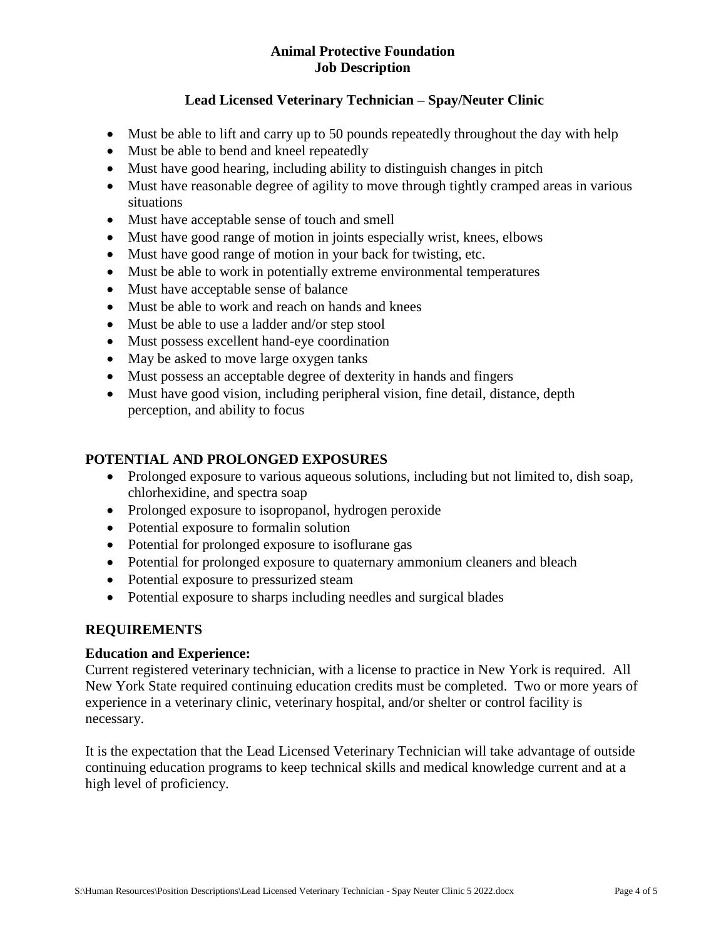# **Lead Licensed Veterinary Technician – Spay/Neuter Clinic**

- Must be able to lift and carry up to 50 pounds repeatedly throughout the day with help
- Must be able to bend and kneel repeatedly
- Must have good hearing, including ability to distinguish changes in pitch
- Must have reasonable degree of agility to move through tightly cramped areas in various situations
- Must have acceptable sense of touch and smell
- Must have good range of motion in joints especially wrist, knees, elbows
- Must have good range of motion in your back for twisting, etc.
- Must be able to work in potentially extreme environmental temperatures
- Must have acceptable sense of balance
- Must be able to work and reach on hands and knees
- Must be able to use a ladder and/or step stool
- Must possess excellent hand-eye coordination
- May be asked to move large oxygen tanks
- Must possess an acceptable degree of dexterity in hands and fingers
- Must have good vision, including peripheral vision, fine detail, distance, depth perception, and ability to focus

# **POTENTIAL AND PROLONGED EXPOSURES**

- Prolonged exposure to various aqueous solutions, including but not limited to, dish soap, chlorhexidine, and spectra soap
- Prolonged exposure to isopropanol, hydrogen peroxide
- Potential exposure to formalin solution
- Potential for prolonged exposure to isoflurane gas
- Potential for prolonged exposure to quaternary ammonium cleaners and bleach
- Potential exposure to pressurized steam
- Potential exposure to sharps including needles and surgical blades

# **REQUIREMENTS**

# **Education and Experience:**

Current registered veterinary technician, with a license to practice in New York is required. All New York State required continuing education credits must be completed. Two or more years of experience in a veterinary clinic, veterinary hospital, and/or shelter or control facility is necessary.

It is the expectation that the Lead Licensed Veterinary Technician will take advantage of outside continuing education programs to keep technical skills and medical knowledge current and at a high level of proficiency.